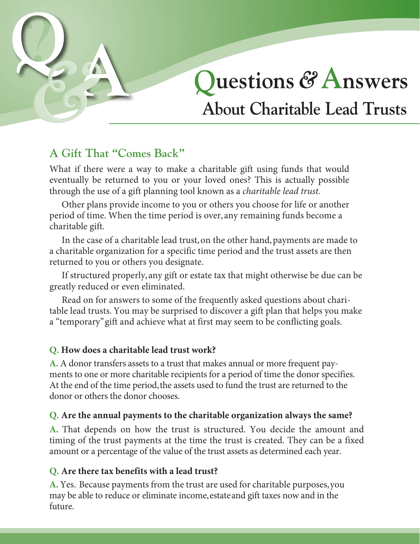

# **A Gift That "Comes Back"**

What if there were a way to make a charitable gift using funds that would eventually be returned to you or your loved ones? This is actually possible through the use of a gift planning tool known as a *charitable lead trust.* 

Other plans provide income to you or others you choose for life or another period of time. When the time period is over, any remaining funds become a charitable gift.

In the case of a charitable lead trust, on the other hand, payments are made to a charitable organization for a specific time period and the trust assets are then returned to you or others you designate.

If structured properly, any gift or estate tax that might otherwise be due can be greatly reduced or even eliminated.

Read on for answers to some of the frequently asked questions about charitable lead trusts. You may be surprised to discover a gift plan that helps you make a "temporary" gift and achieve what at first may seem to be conflicting goals.

## **Q. How does a charitable lead trust work?**

**A.** A donor transfers assets to a trust that makes annual or more frequent payments to one or more charitable recipients for a period of time the donor specifies. At the end of the time period, the assets used to fund the trust are returned to the donor or others the donor chooses.

## **Q. Are the annual payments to the charitable organization always the same?**

**A.** That depends on how the trust is structured. You decide the amount and timing of the trust payments at the time the trust is created. They can be a fixed amount or a percentage of the value of the trust assets as determined each year.

## **Q. Are there tax benefits with a lead trust?**

**A.** Yes. Because payments from the trust are used for charitable purposes, you may be able to reduce or eliminate income,estate and gift taxes now and in the future.